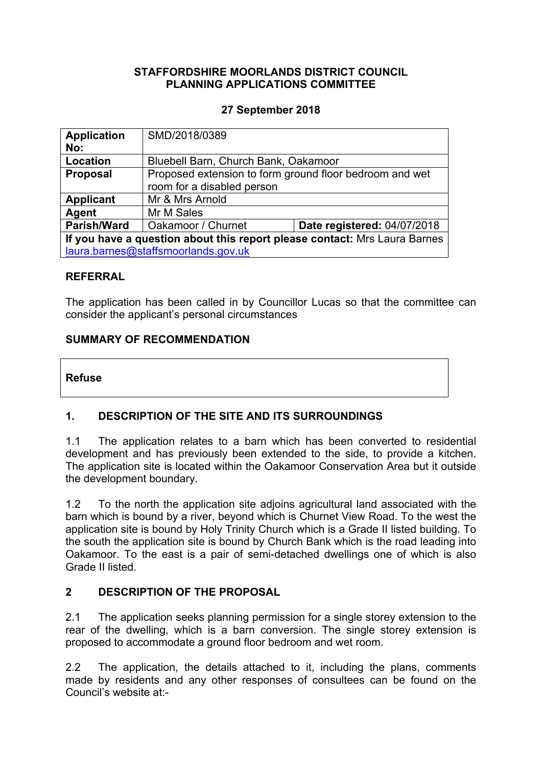### **STAFFORDSHIRE MOORLANDS DISTRICT COUNCIL PLANNING APPLICATIONS COMMITTEE**

# **27 September 2018**

| <b>Application</b><br>No:                                                 | SMD/2018/0389                                                                         |                                    |  |
|---------------------------------------------------------------------------|---------------------------------------------------------------------------------------|------------------------------------|--|
| Location                                                                  | Bluebell Barn, Church Bank, Oakamoor                                                  |                                    |  |
| <b>Proposal</b>                                                           | Proposed extension to form ground floor bedroom and wet<br>room for a disabled person |                                    |  |
| <b>Applicant</b>                                                          | Mr & Mrs Arnold                                                                       |                                    |  |
| <b>Agent</b>                                                              | Mr M Sales                                                                            |                                    |  |
| <b>Parish/Ward</b>                                                        | Oakamoor / Churnet                                                                    | <b>Date registered: 04/07/2018</b> |  |
| If you have a question about this report please contact: Mrs Laura Barnes |                                                                                       |                                    |  |
| laura.barnes@staffsmoorlands.gov.uk                                       |                                                                                       |                                    |  |

#### **REFERRAL**

The application has been called in by Councillor Lucas so that the committee can consider the applicant's personal circumstances

#### **SUMMARY OF RECOMMENDATION**

**Refuse**

# **1. DESCRIPTION OF THE SITE AND ITS SURROUNDINGS**

1.1 The application relates to a barn which has been converted to residential development and has previously been extended to the side, to provide a kitchen. The application site is located within the Oakamoor Conservation Area but it outside the development boundary.

1.2 To the north the application site adjoins agricultural land associated with the barn which is bound by a river, beyond which is Churnet View Road. To the west the application site is bound by Holy Trinity Church which is a Grade II listed building. To the south the application site is bound by Church Bank which is the road leading into Oakamoor. To the east is a pair of semi-detached dwellings one of which is also Grade II listed.

#### **2 DESCRIPTION OF THE PROPOSAL**

2.1 The application seeks planning permission for a single storey extension to the rear of the dwelling, which is a barn conversion. The single storey extension is proposed to accommodate a ground floor bedroom and wet room.

2.2 The application, the details attached to it, including the plans, comments made by residents and any other responses of consultees can be found on the Council's website at:-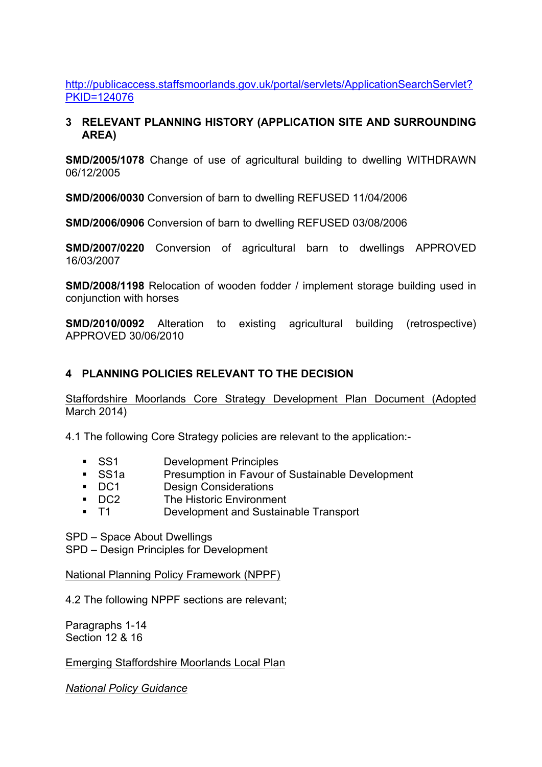[http://publicaccess.staffsmoorlands.gov.uk/portal/servlets/ApplicationSearchServlet?](http://publicaccess.staffsmoorlands.gov.uk/portal/servlets/ApplicationSearchServlet?PKID=124076) [PKID=124076](http://publicaccess.staffsmoorlands.gov.uk/portal/servlets/ApplicationSearchServlet?PKID=124076)

#### **3 RELEVANT PLANNING HISTORY (APPLICATION SITE AND SURROUNDING AREA)**

**SMD/2005/1078** Change of use of agricultural building to dwelling WITHDRAWN 06/12/2005

**SMD/2006/0030** Conversion of barn to dwelling REFUSED 11/04/2006

**SMD/2006/0906** Conversion of barn to dwelling REFUSED 03/08/2006

**SMD/2007/0220** Conversion of agricultural barn to dwellings APPROVED 16/03/2007

**SMD/2008/1198** Relocation of wooden fodder / implement storage building used in conjunction with horses

**SMD/2010/0092** Alteration to existing agricultural building (retrospective) APPROVED 30/06/2010

# **4 PLANNING POLICIES RELEVANT TO THE DECISION**

Staffordshire Moorlands Core Strategy Development Plan Document (Adopted March 2014)

4.1 The following Core Strategy policies are relevant to the application:-

- **SS1** Development Principles
- SS1a Presumption in Favour of Sustainable Development
- DC1 Design Considerations
- **DC2** The Historic Environment
- T1 Development and Sustainable Transport

SPD – Space About Dwellings

SPD – Design Principles for Development

National Planning Policy Framework (NPPF)

4.2 The following NPPF sections are relevant;

Paragraphs 1-14 Section 12 & 16

Emerging Staffordshire Moorlands Local Plan

*National Policy Guidance*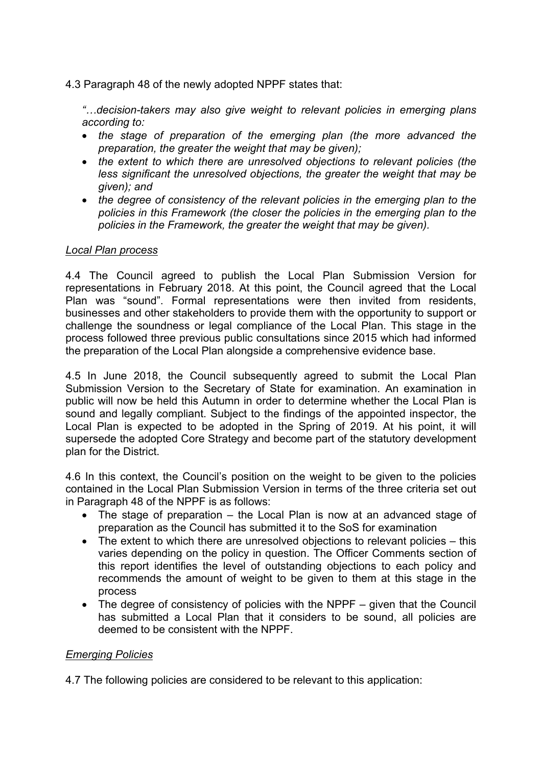4.3 Paragraph 48 of the newly adopted NPPF states that:

*"…decision-takers may also give weight to relevant policies in emerging plans according to:*

- *the stage of preparation of the emerging plan (the more advanced the preparation, the greater the weight that may be given);*
- *the extent to which there are unresolved objections to relevant policies (the less significant the unresolved objections, the greater the weight that may be given); and*
- *the degree of consistency of the relevant policies in the emerging plan to the policies in this Framework (the closer the policies in the emerging plan to the policies in the Framework, the greater the weight that may be given).*

#### *Local Plan process*

4.4 The Council agreed to publish the Local Plan Submission Version for representations in February 2018. At this point, the Council agreed that the Local Plan was "sound". Formal representations were then invited from residents, businesses and other stakeholders to provide them with the opportunity to support or challenge the soundness or legal compliance of the Local Plan. This stage in the process followed three previous public consultations since 2015 which had informed the preparation of the Local Plan alongside a comprehensive evidence base.

4.5 In June 2018, the Council subsequently agreed to submit the Local Plan Submission Version to the Secretary of State for examination. An examination in public will now be held this Autumn in order to determine whether the Local Plan is sound and legally compliant. Subject to the findings of the appointed inspector, the Local Plan is expected to be adopted in the Spring of 2019. At his point, it will supersede the adopted Core Strategy and become part of the statutory development plan for the District.

4.6 In this context, the Council's position on the weight to be given to the policies contained in the Local Plan Submission Version in terms of the three criteria set out in Paragraph 48 of the NPPF is as follows:

- The stage of preparation the Local Plan is now at an advanced stage of preparation as the Council has submitted it to the SoS for examination
- The extent to which there are unresolved objections to relevant policies this varies depending on the policy in question. The Officer Comments section of this report identifies the level of outstanding objections to each policy and recommends the amount of weight to be given to them at this stage in the process
- The degree of consistency of policies with the NPPF given that the Council has submitted a Local Plan that it considers to be sound, all policies are deemed to be consistent with the NPPF.

#### *Emerging Policies*

4.7 The following policies are considered to be relevant to this application: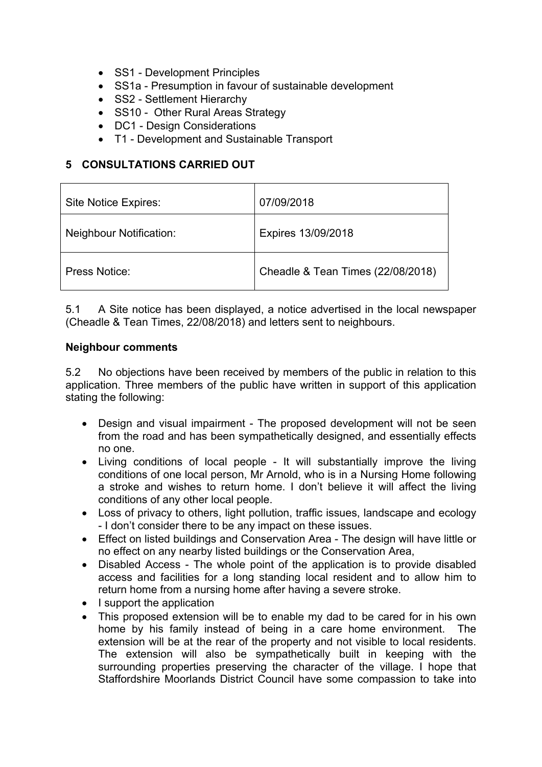- SS1 Development Principles
- SS1a Presumption in favour of sustainable development
- SS2 Settlement Hierarchy
- SS10 Other Rural Areas Strategy
- DC1 Design Considerations
- T1 Development and Sustainable Transport

### **5 CONSULTATIONS CARRIED OUT**

| Site Notice Expires:           | 07/09/2018                        |
|--------------------------------|-----------------------------------|
| <b>Neighbour Notification:</b> | Expires 13/09/2018                |
| Press Notice:                  | Cheadle & Tean Times (22/08/2018) |

5.1 A Site notice has been displayed, a notice advertised in the local newspaper (Cheadle & Tean Times, 22/08/2018) and letters sent to neighbours.

#### **Neighbour comments**

5.2 No objections have been received by members of the public in relation to this application. Three members of the public have written in support of this application stating the following:

- Design and visual impairment The proposed development will not be seen from the road and has been sympathetically designed, and essentially effects no one.
- Living conditions of local people It will substantially improve the living conditions of one local person, Mr Arnold, who is in a Nursing Home following a stroke and wishes to return home. I don't believe it will affect the living conditions of any other local people.
- Loss of privacy to others, light pollution, traffic issues, landscape and ecology - I don't consider there to be any impact on these issues.
- Effect on listed buildings and Conservation Area The design will have little or no effect on any nearby listed buildings or the Conservation Area,
- Disabled Access The whole point of the application is to provide disabled access and facilities for a long standing local resident and to allow him to return home from a nursing home after having a severe stroke.
- I support the application
- This proposed extension will be to enable my dad to be cared for in his own home by his family instead of being in a care home environment. The extension will be at the rear of the property and not visible to local residents. The extension will also be sympathetically built in keeping with the surrounding properties preserving the character of the village. I hope that Staffordshire Moorlands District Council have some compassion to take into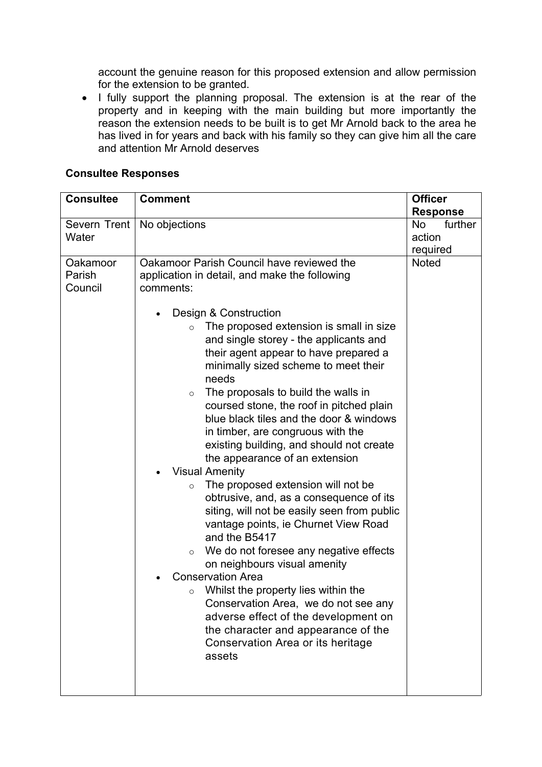account the genuine reason for this proposed extension and allow permission for the extension to be granted.

• I fully support the planning proposal. The extension is at the rear of the property and in keeping with the main building but more importantly the reason the extension needs to be built is to get Mr Arnold back to the area he has lived in for years and back with his family so they can give him all the care and attention Mr Arnold deserves

#### **Consultee Responses**

| <b>Consultee</b>              | <b>Comment</b>                                                                                                                                                                                                                                                                                                                                                                                                                                                                                                                                                                                                                                                                                                                                                                                                                                                                                                                                                                                                                                                                                                                                               | <b>Officer</b><br><b>Response</b>          |
|-------------------------------|--------------------------------------------------------------------------------------------------------------------------------------------------------------------------------------------------------------------------------------------------------------------------------------------------------------------------------------------------------------------------------------------------------------------------------------------------------------------------------------------------------------------------------------------------------------------------------------------------------------------------------------------------------------------------------------------------------------------------------------------------------------------------------------------------------------------------------------------------------------------------------------------------------------------------------------------------------------------------------------------------------------------------------------------------------------------------------------------------------------------------------------------------------------|--------------------------------------------|
| Severn Trent<br>Water         | No objections                                                                                                                                                                                                                                                                                                                                                                                                                                                                                                                                                                                                                                                                                                                                                                                                                                                                                                                                                                                                                                                                                                                                                | further<br><b>No</b><br>action<br>required |
| Oakamoor<br>Parish<br>Council | Oakamoor Parish Council have reviewed the<br>application in detail, and make the following<br>comments:<br>Design & Construction<br>The proposed extension is small in size<br>$\circ$<br>and single storey - the applicants and<br>their agent appear to have prepared a<br>minimally sized scheme to meet their<br>needs<br>The proposals to build the walls in<br>$\circ$<br>coursed stone, the roof in pitched plain<br>blue black tiles and the door & windows<br>in timber, are congruous with the<br>existing building, and should not create<br>the appearance of an extension<br><b>Visual Amenity</b><br>The proposed extension will not be<br>$\circ$<br>obtrusive, and, as a consequence of its<br>siting, will not be easily seen from public<br>vantage points, ie Churnet View Road<br>and the B5417<br>We do not foresee any negative effects<br>$\circ$<br>on neighbours visual amenity<br><b>Conservation Area</b><br>Whilst the property lies within the<br>$\circ$<br>Conservation Area, we do not see any<br>adverse effect of the development on<br>the character and appearance of the<br>Conservation Area or its heritage<br>assets | <b>Noted</b>                               |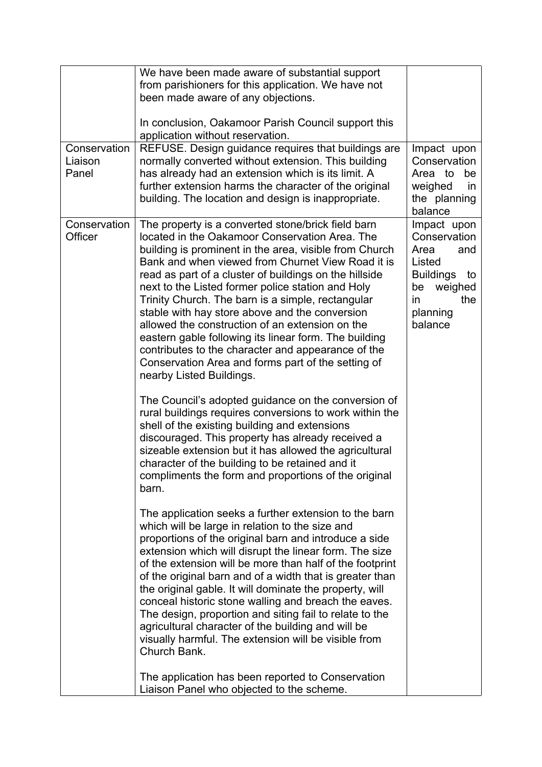| Conservation<br>Liaison<br>Panel | We have been made aware of substantial support<br>from parishioners for this application. We have not<br>been made aware of any objections.<br>In conclusion, Oakamoor Parish Council support this<br>application without reservation.<br>REFUSE. Design guidance requires that buildings are<br>normally converted without extension. This building<br>has already had an extension which is its limit. A<br>further extension harms the character of the original<br>building. The location and design is inappropriate.                                                                                                                                                                                                                                                                                                                                                                                                                                                                                                                                                                                                                                                                                                                                                                                                                                                                                                                                                                                                                                                                                                                                                                                                                                                                                                                                               | Impact upon<br>Conservation<br>Area to<br>be<br>weighed<br><i>in</i><br>the planning<br>balance                                      |
|----------------------------------|--------------------------------------------------------------------------------------------------------------------------------------------------------------------------------------------------------------------------------------------------------------------------------------------------------------------------------------------------------------------------------------------------------------------------------------------------------------------------------------------------------------------------------------------------------------------------------------------------------------------------------------------------------------------------------------------------------------------------------------------------------------------------------------------------------------------------------------------------------------------------------------------------------------------------------------------------------------------------------------------------------------------------------------------------------------------------------------------------------------------------------------------------------------------------------------------------------------------------------------------------------------------------------------------------------------------------------------------------------------------------------------------------------------------------------------------------------------------------------------------------------------------------------------------------------------------------------------------------------------------------------------------------------------------------------------------------------------------------------------------------------------------------------------------------------------------------------------------------------------------------|--------------------------------------------------------------------------------------------------------------------------------------|
| Conservation<br>Officer          | The property is a converted stone/brick field barn<br>located in the Oakamoor Conservation Area. The<br>building is prominent in the area, visible from Church<br>Bank and when viewed from Churnet View Road it is<br>read as part of a cluster of buildings on the hillside<br>next to the Listed former police station and Holy<br>Trinity Church. The barn is a simple, rectangular<br>stable with hay store above and the conversion<br>allowed the construction of an extension on the<br>eastern gable following its linear form. The building<br>contributes to the character and appearance of the<br>Conservation Area and forms part of the setting of<br>nearby Listed Buildings.<br>The Council's adopted guidance on the conversion of<br>rural buildings requires conversions to work within the<br>shell of the existing building and extensions<br>discouraged. This property has already received a<br>sizeable extension but it has allowed the agricultural<br>character of the building to be retained and it<br>compliments the form and proportions of the original<br>barn.<br>The application seeks a further extension to the barn<br>which will be large in relation to the size and<br>proportions of the original barn and introduce a side<br>extension which will disrupt the linear form. The size<br>of the extension will be more than half of the footprint<br>of the original barn and of a width that is greater than<br>the original gable. It will dominate the property, will<br>conceal historic stone walling and breach the eaves.<br>The design, proportion and siting fail to relate to the<br>agricultural character of the building and will be<br>visually harmful. The extension will be visible from<br>Church Bank.<br>The application has been reported to Conservation<br>Liaison Panel who objected to the scheme. | Impact upon<br>Conservation<br>Area<br>and<br>Listed<br><b>Buildings</b><br>to<br>weighed<br>be<br>the<br>in.<br>planning<br>balance |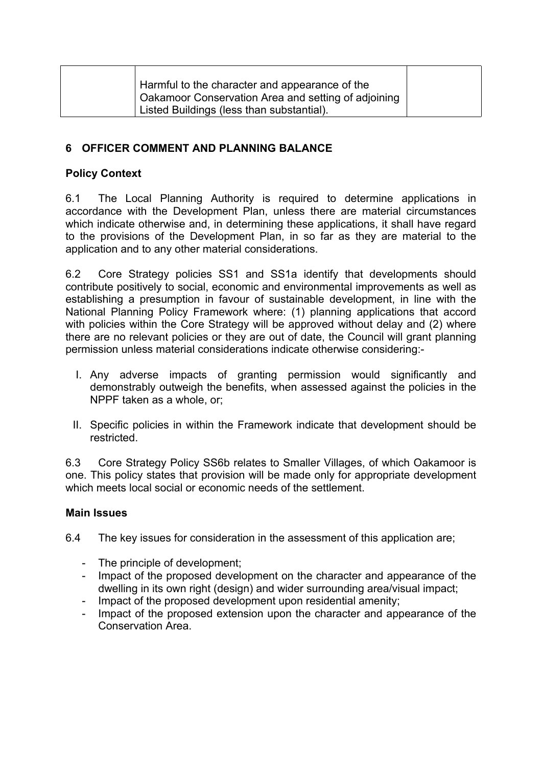| Harmful to the character and appearance of the<br>Oakamoor Conservation Area and setting of adjoining<br>Listed Buildings (less than substantial). |
|----------------------------------------------------------------------------------------------------------------------------------------------------|
|----------------------------------------------------------------------------------------------------------------------------------------------------|

# **6 OFFICER COMMENT AND PLANNING BALANCE**

# **Policy Context**

6.1 The Local Planning Authority is required to determine applications in accordance with the Development Plan, unless there are material circumstances which indicate otherwise and, in determining these applications, it shall have regard to the provisions of the Development Plan, in so far as they are material to the application and to any other material considerations.

6.2 Core Strategy policies SS1 and SS1a identify that developments should contribute positively to social, economic and environmental improvements as well as establishing a presumption in favour of sustainable development, in line with the National Planning Policy Framework where: (1) planning applications that accord with policies within the Core Strategy will be approved without delay and (2) where there are no relevant policies or they are out of date, the Council will grant planning permission unless material considerations indicate otherwise considering:-

- I. Any adverse impacts of granting permission would significantly and demonstrably outweigh the benefits, when assessed against the policies in the NPPF taken as a whole, or;
- II. Specific policies in within the Framework indicate that development should be restricted.

6.3 Core Strategy Policy SS6b relates to Smaller Villages, of which Oakamoor is one. This policy states that provision will be made only for appropriate development which meets local social or economic needs of the settlement.

#### **Main Issues**

6.4 The key issues for consideration in the assessment of this application are;

- The principle of development;
- Impact of the proposed development on the character and appearance of the dwelling in its own right (design) and wider surrounding area/visual impact;
- Impact of the proposed development upon residential amenity;
- Impact of the proposed extension upon the character and appearance of the Conservation Area.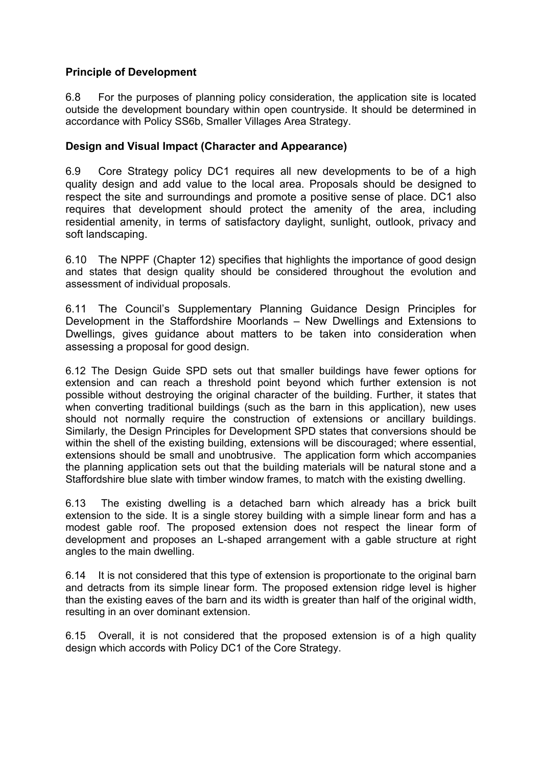# **Principle of Development**

6.8 For the purposes of planning policy consideration, the application site is located outside the development boundary within open countryside. It should be determined in accordance with Policy SS6b, Smaller Villages Area Strategy.

# **Design and Visual Impact (Character and Appearance)**

6.9 Core Strategy policy DC1 requires all new developments to be of a high quality design and add value to the local area. Proposals should be designed to respect the site and surroundings and promote a positive sense of place. DC1 also requires that development should protect the amenity of the area, including residential amenity, in terms of satisfactory daylight, sunlight, outlook, privacy and soft landscaping.

6.10 The NPPF (Chapter 12) specifies that highlights the importance of good design and states that design quality should be considered throughout the evolution and assessment of individual proposals.

6.11 The Council's Supplementary Planning Guidance Design Principles for Development in the Staffordshire Moorlands – New Dwellings and Extensions to Dwellings, gives guidance about matters to be taken into consideration when assessing a proposal for good design.

6.12 The Design Guide SPD sets out that smaller buildings have fewer options for extension and can reach a threshold point beyond which further extension is not possible without destroying the original character of the building. Further, it states that when converting traditional buildings (such as the barn in this application), new uses should not normally require the construction of extensions or ancillary buildings. Similarly, the Design Principles for Development SPD states that conversions should be within the shell of the existing building, extensions will be discouraged; where essential, extensions should be small and unobtrusive. The application form which accompanies the planning application sets out that the building materials will be natural stone and a Staffordshire blue slate with timber window frames, to match with the existing dwelling.

6.13 The existing dwelling is a detached barn which already has a brick built extension to the side. It is a single storey building with a simple linear form and has a modest gable roof. The proposed extension does not respect the linear form of development and proposes an L-shaped arrangement with a gable structure at right angles to the main dwelling.

6.14 It is not considered that this type of extension is proportionate to the original barn and detracts from its simple linear form. The proposed extension ridge level is higher than the existing eaves of the barn and its width is greater than half of the original width, resulting in an over dominant extension.

6.15 Overall, it is not considered that the proposed extension is of a high quality design which accords with Policy DC1 of the Core Strategy.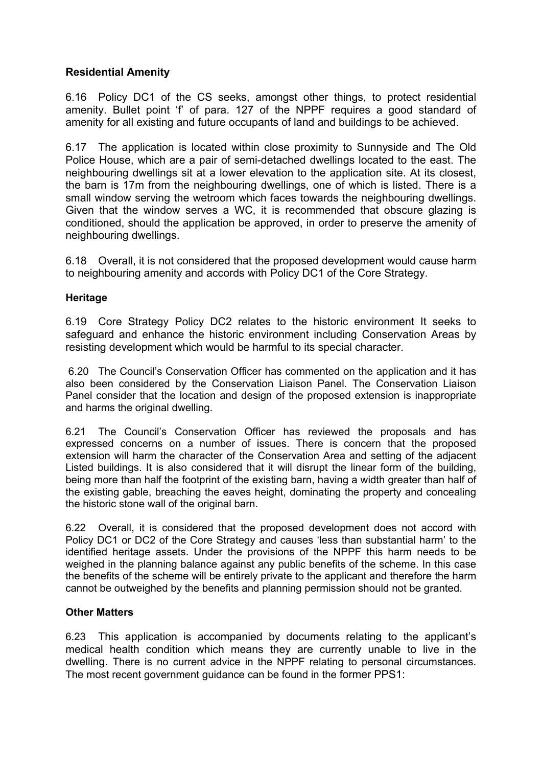# **Residential Amenity**

6.16 Policy DC1 of the CS seeks, amongst other things, to protect residential amenity. Bullet point 'f' of para. 127 of the NPPF requires a good standard of amenity for all existing and future occupants of land and buildings to be achieved.

6.17 The application is located within close proximity to Sunnyside and The Old Police House, which are a pair of semi-detached dwellings located to the east. The neighbouring dwellings sit at a lower elevation to the application site. At its closest, the barn is 17m from the neighbouring dwellings, one of which is listed. There is a small window serving the wetroom which faces towards the neighbouring dwellings. Given that the window serves a WC, it is recommended that obscure glazing is conditioned, should the application be approved, in order to preserve the amenity of neighbouring dwellings.

6.18 Overall, it is not considered that the proposed development would cause harm to neighbouring amenity and accords with Policy DC1 of the Core Strategy.

#### **Heritage**

6.19 Core Strategy Policy DC2 relates to the historic environment It seeks to safeguard and enhance the historic environment including Conservation Areas by resisting development which would be harmful to its special character.

6.20 The Council's Conservation Officer has commented on the application and it has also been considered by the Conservation Liaison Panel. The Conservation Liaison Panel consider that the location and design of the proposed extension is inappropriate and harms the original dwelling.

6.21 The Council's Conservation Officer has reviewed the proposals and has expressed concerns on a number of issues. There is concern that the proposed extension will harm the character of the Conservation Area and setting of the adjacent Listed buildings. It is also considered that it will disrupt the linear form of the building, being more than half the footprint of the existing barn, having a width greater than half of the existing gable, breaching the eaves height, dominating the property and concealing the historic stone wall of the original barn.

6.22 Overall, it is considered that the proposed development does not accord with Policy DC1 or DC2 of the Core Strategy and causes 'less than substantial harm' to the identified heritage assets. Under the provisions of the NPPF this harm needs to be weighed in the planning balance against any public benefits of the scheme. In this case the benefits of the scheme will be entirely private to the applicant and therefore the harm cannot be outweighed by the benefits and planning permission should not be granted.

#### **Other Matters**

6.23 This application is accompanied by documents relating to the applicant's medical health condition which means they are currently unable to live in the dwelling. There is no current advice in the NPPF relating to personal circumstances. The most recent government guidance can be found in the former PPS1: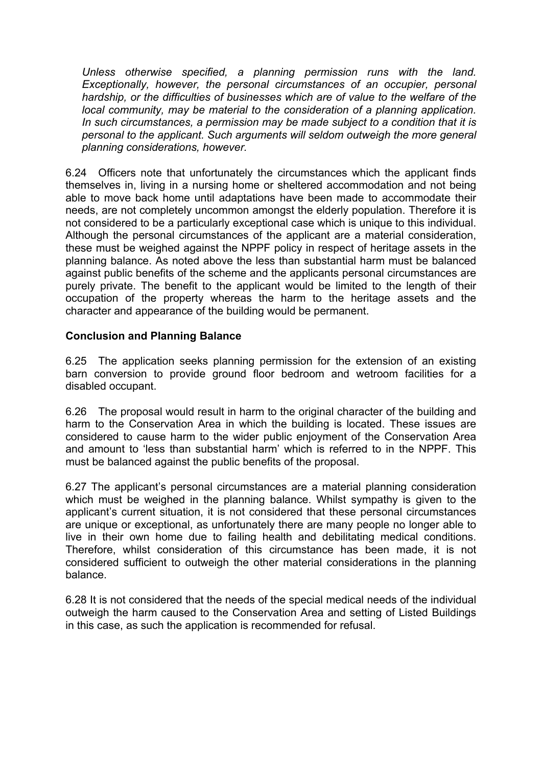*Unless otherwise specified, a planning permission runs with the land. Exceptionally, however, the personal circumstances of an occupier, personal hardship, or the difficulties of businesses which are of value to the welfare of the local community, may be material to the consideration of a planning application. In such circumstances, a permission may be made subject to a condition that it is personal to the applicant. Such arguments will seldom outweigh the more general planning considerations, however.*

6.24 Officers note that unfortunately the circumstances which the applicant finds themselves in, living in a nursing home or sheltered accommodation and not being able to move back home until adaptations have been made to accommodate their needs, are not completely uncommon amongst the elderly population. Therefore it is not considered to be a particularly exceptional case which is unique to this individual. Although the personal circumstances of the applicant are a material consideration, these must be weighed against the NPPF policy in respect of heritage assets in the planning balance. As noted above the less than substantial harm must be balanced against public benefits of the scheme and the applicants personal circumstances are purely private. The benefit to the applicant would be limited to the length of their occupation of the property whereas the harm to the heritage assets and the character and appearance of the building would be permanent.

# **Conclusion and Planning Balance**

6.25 The application seeks planning permission for the extension of an existing barn conversion to provide ground floor bedroom and wetroom facilities for a disabled occupant.

6.26 The proposal would result in harm to the original character of the building and harm to the Conservation Area in which the building is located. These issues are considered to cause harm to the wider public enjoyment of the Conservation Area and amount to 'less than substantial harm' which is referred to in the NPPF. This must be balanced against the public benefits of the proposal.

6.27 The applicant's personal circumstances are a material planning consideration which must be weighed in the planning balance. Whilst sympathy is given to the applicant's current situation, it is not considered that these personal circumstances are unique or exceptional, as unfortunately there are many people no longer able to live in their own home due to failing health and debilitating medical conditions. Therefore, whilst consideration of this circumstance has been made, it is not considered sufficient to outweigh the other material considerations in the planning balance.

6.28 It is not considered that the needs of the special medical needs of the individual outweigh the harm caused to the Conservation Area and setting of Listed Buildings in this case, as such the application is recommended for refusal.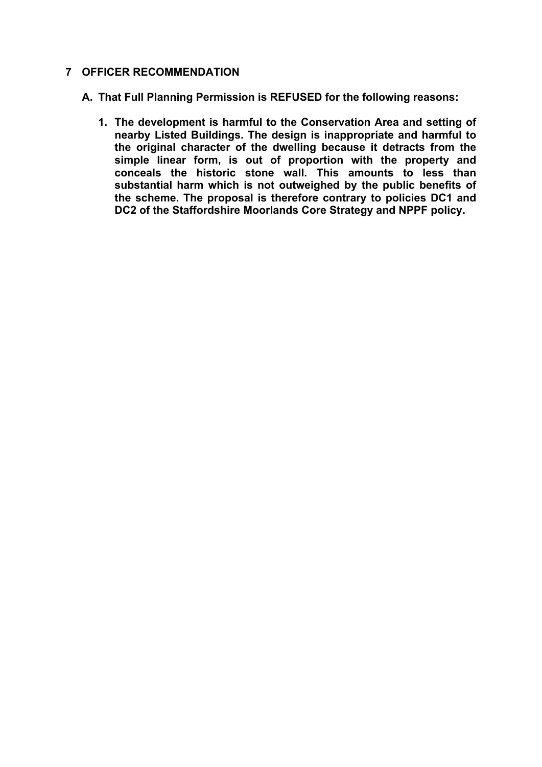# **7 OFFICER RECOMMENDATION**

**A. That Full Planning Permission is REFUSED for the following reasons:**

**1. The development is harmful to the Conservation Area and setting of nearby Listed Buildings. The design is inappropriate and harmful to the original character of the dwelling because it detracts from the simple linear form, is out of proportion with the property and conceals the historic stone wall. This amounts to less than substantial harm which is not outweighed by the public benefits of the scheme. The proposal is therefore contrary to policies DC1 and DC2 of the Staffordshire Moorlands Core Strategy and NPPF policy.**